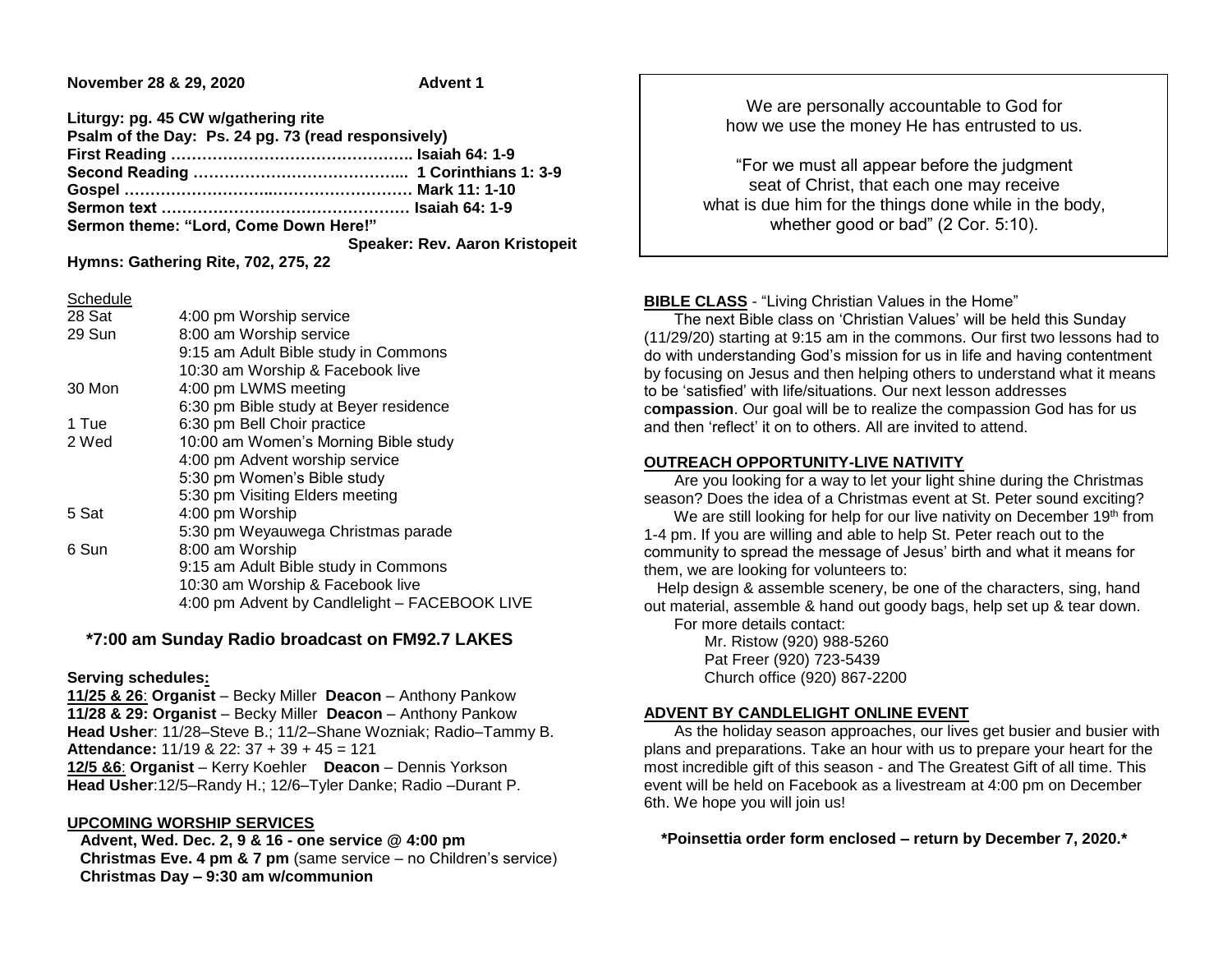**November 28 & 29, 2020** Advent 1

| Liturgy: pg. 45 CW w/gathering rite                 |                                       |
|-----------------------------------------------------|---------------------------------------|
| Psalm of the Day: Ps. 24 pg. 73 (read responsively) |                                       |
|                                                     |                                       |
|                                                     |                                       |
|                                                     |                                       |
|                                                     |                                       |
| Sermon theme: "Lord, Come Down Here!"               |                                       |
|                                                     | <b>Speaker: Rev. Aaron Kristopeit</b> |

**Hymns: Gathering Rite, 702, 275, 22**

Schedule

| ------- |                                               |
|---------|-----------------------------------------------|
| 28 Sat  | 4:00 pm Worship service                       |
| 29 Sun  | 8:00 am Worship service                       |
|         | 9:15 am Adult Bible study in Commons          |
|         | 10:30 am Worship & Facebook live              |
| 30 Mon  | 4:00 pm LWMS meeting                          |
|         | 6:30 pm Bible study at Beyer residence        |
| 1 Tue   | 6:30 pm Bell Choir practice                   |
| 2 Wed   | 10:00 am Women's Morning Bible study          |
|         | 4:00 pm Advent worship service                |
|         | 5:30 pm Women's Bible study                   |
|         | 5:30 pm Visiting Elders meeting               |
| 5 Sat   | 4:00 pm Worship                               |
|         | 5:30 pm Weyauwega Christmas parade            |
| 6 Sun   | 8:00 am Worship                               |
|         | 9:15 am Adult Bible study in Commons          |
|         | 10:30 am Worship & Facebook live              |
|         | 4:00 pm Advent by Candlelight - FACEBOOK LIVE |
|         |                                               |

# **\*7:00 am Sunday Radio broadcast on FM92.7 LAKES**

### **Serving schedules:**

**11/25 & 26**: **Organist** – Becky Miller **Deacon** – Anthony Pankow **11/28 & 29: Organist** – Becky Miller **Deacon** – Anthony Pankow **Head Usher**: 11/28–Steve B.; 11/2–Shane Wozniak; Radio–Tammy B. **Attendance:** 11/19 & 22: 37 + 39 + 45 = 121 **12/5 &6**: **Organist** – Kerry Koehler **Deacon** – Dennis Yorkson **Head Usher**:12/5–Randy H.; 12/6–Tyler Danke; Radio –Durant P.

### **UPCOMING WORSHIP SERVICES**

 **Advent, Wed. Dec. 2, 9 & 16 - one service @ 4:00 pm Christmas Eve. 4 pm & 7 pm** (same service – no Children's service) **Christmas Day – 9:30 am w/communion**

We are personally accountable to God for how we use the money He has entrusted to us.

"For we must all appear before the judgment seat of Christ, that each one may receive what is due him for the things done while in the body, whether good or bad" (2 Cor. 5:10).

## **BIBLE CLASS** - "Living Christian Values in the Home"

 The next Bible class on 'Christian Values' will be held this Sunday (11/29/20) starting at 9:15 am in the commons. Our first two lessons had to do with understanding God's mission for us in life and having contentment by focusing on Jesus and then helping others to understand what it means to be 'satisfied' with life/situations. Our next lesson addresses c**ompassion**. Our goal will be to realize the compassion God has for us and then 'reflect' it on to others. All are invited to attend.

### **OUTREACH OPPORTUNITY-LIVE NATIVITY**

 Are you looking for a way to let your light shine during the Christmas season? Does the idea of a Christmas event at St. Peter sound exciting?

We are still looking for help for our live nativity on December 19<sup>th</sup> from 1-4 pm. If you are willing and able to help St. Peter reach out to the community to spread the message of Jesus' birth and what it means for them, we are looking for volunteers to:

 Help design & assemble scenery, be one of the characters, sing, hand out material, assemble & hand out goody bags, help set up & tear down.

For more details contact:

 Mr. Ristow (920) 988-5260 Pat Freer (920) 723-5439 Church office (920) 867-2200

# **ADVENT BY CANDLELIGHT ONLINE EVENT**

 As the holiday season approaches, our lives get busier and busier with plans and preparations. Take an hour with us to prepare your heart for the most incredible gift of this season - and The Greatest Gift of all time. This event will be held on Facebook as a livestream at 4:00 pm on December 6th. We hope you will join us!

 **\*Poinsettia order form enclosed – return by December 7, 2020.\***